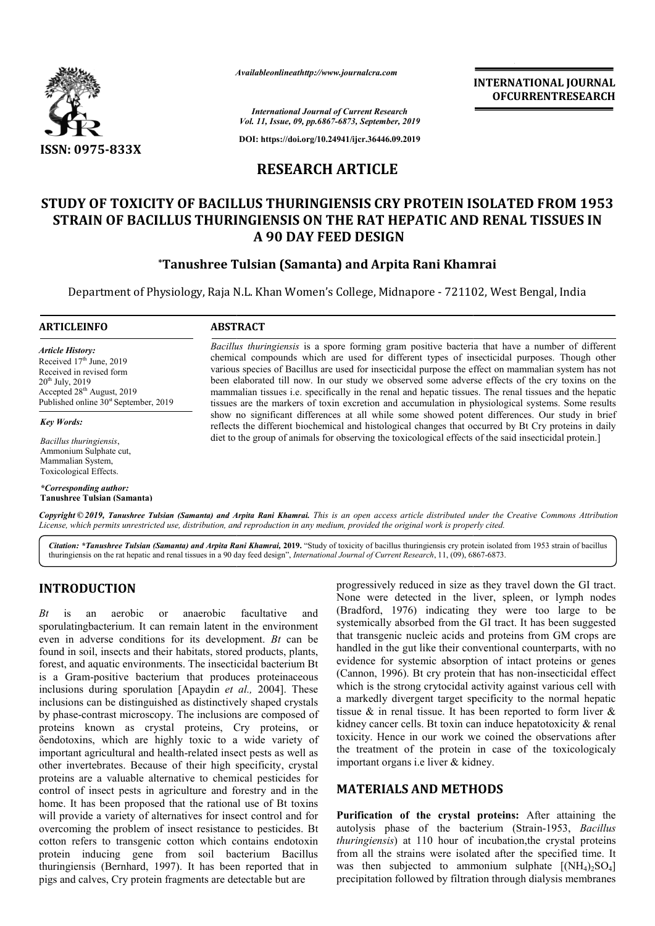

*Availableonlineathttp://www.journal Availableonlineathttp://www.journalcra.com*

**INTERNATIONAL JOURNAL OFCURRENTRESEARCH**

*International Journal of Current Research Vol. 11, Issue, 09, pp.6867-6873, September, 2019*

**DOI: https://doi.org/10.24941/ijcr.36446.09.2019**

# **RESEARCH ARTICLE**

# **STUDY OF TOXICITY OF BACILLUS THURINGIENSIS CRY PROTEIN ISOLATED FROM 1953 STRAIN OF BACILLUS THURINGIENSIS ON THE RAT HEPATIC AND RENAL TISSUES IN A 90 DAY FEED DESIGN STUDY OF TOXICITY OF BACILLUS THURINGIENSIS CRY PROTE<br>STRAIN OF BACILLUS THURINGIENSIS ON THE RAT HEPATIC<br>A 90 DAY FEED DESIGN<br>Tanushree Tulsian (Samanta) and Arpita Rani K\***

# **\*Tanushree Tulsian (Samanta) and Arpita Rani Khamrai Tanushree**

Department of Physiology, Raja N.L. Khan Women's College, Midnapore - 721102, West Bengal, India

#### **ARTICLEINFO ABSTRACT**

*Article History:* Received  $17<sup>th</sup>$  June, 2019 Received in revised form 20th July, 2019 Accepted 28<sup>th</sup> August, 2019 Published online  $30<sup>st</sup>$  September, 2019

*Key Words:*

*Bacillus thuringiensis*, Ammonium Sulphate cut, Mammalian System, Toxicological Effects.

*\*Corresponding author:* **Tanushree Tulsian (Samanta)**

*Bacillus thuringiensis* is a spore forming gram positive bacteria that have a number of different chemical compounds which are used for different types of insecticidal purposes. Though other various species of Bacillus are used for insecticidal purpose the effect on mammalian system has not been elaborated till now. In our study we observed some adverse effects of the cry toxins on the mammalian tissues i.e. specifically in the renal and hepatic tissues. The renal tissues and the hepatic tissues are the markers of toxin excretion and accumulation in physiological systems. Some results show no significant differences at all while some showed potent differences. Our study in brief reflects the different biochemical and histological changes that occurred by Bt Cry proteins in daily diet to the group of animals for observing the toxicological effects of the said insecticidal protein.] *Bacillus thuringiensis* is a spore forming gram positive bacteria that have a number of different chemical compounds which are used for different types of insecticidal purposes. Though other various species of Bacillus ar tissues are the markers of toxin excretion and accumulation in physiological systems. Some res<br>show no significant differences at all while some showed potent differences. Our study in t<br>reflects the different biochemical

Copyright © 2019, Tanushree Tulsian (Samanta) and Arpita Rani Khamrai. This is an open access article distributed under the Creative Commons Attribution License, which permits unrestricted use, distribution, and reproduction in any medium, provided the original work is properly cited.

Citation: \*Tanushree Tulsian (Samanta) and Arpita Rani Khamrai, 2019. "Study of toxicity of bacillus thuringiensis cry protein isolated from 1953 strain of bacillus thuringiensis on the rat hepatic and renal tissues in a 9 thuringiensis on the rat hepatic and renal tissues in a 90 day feed design", *International Journal of Current Research*, 11, (09), 6867

# **INTRODUCTION**

*Bt* is an aerobic or anaerobic facultative and sporulatingbacterium. It can remain latent in the environment even in adverse conditions for its development. *Bt* can be found in soil, insects and their habitats, stored products, plants, forest, and aquatic environments. The insecticidal bacterium Bt is a Gram-positive bacterium that produces proteinaceous is a Gram-positive bacterium that produces proteinaceous inclusions during sporulation [Apaydin *et al.*, 2004]. These inclusions can be distinguished as distinctively shaped crystals by phase-contrast microscopy. The inclusions are composed of proteins known as crystal proteins, Cry proteins, or δendotoxins, which are highly toxic to a wide variety of important agricultural and health-related insect pests as well as other invertebrates. Because of their high specificity, crystal proteins are a valuable alternative to chemical pesticides for control of insect pests in agriculture and forestry and in the home. It has been proposed that the rational use of Bt toxins will provide a variety of alternatives for insect control and for overcoming the problem of insect resistance to pesticides. Bt cotton refers to transgenic cotton which contains endotoxin protein inducing gene from soil bacterium Ba Bacillus thuringiensis (Bernhard, 1997). It has been reported that in pigs and calves, Cry protein fragments are detectable but are contrast microscopy. The inclusions<br>known as crystal proteins, C<sub>1</sub><br>ins, which are highly toxic to a<br>agricultural and health-related insec<br>ertebrates. Because of their high sp<br>incept a valuable alternative to chemic<br>f inse

progressively reduced in size as they travel down the GI tract. None were detected in the liver, spleen, or lymph nodes (Bradford, 1976) indicating they were too large to be systemically absorbed from the GI tract. It has been suggested that transgenic nucleic acids and proteins from GM crops are handled in the gut like their conventional counterparts, with no evidence for systemic absorption of intact proteins or genes (Cannon, 1996). Bt cry protein that has non-insecticidal effect which is the strong crytocidal activity against various cell with a markedly divergent target specificity to the normal hepatic tissue  $\&$  in renal tissue. It has been reported to form liver  $\&$ kidney cancer cells. Bt toxin can induce hepatotoxicity & renal toxicity. Hence in our work we coined the observations after the treatment of the protein in case of the toxicologicaly important organs i.e liver & kidney. kidney.ressively reduced in size as they travel down the GI tract.<br>
e were detected in the liver, spleen, or lymph nodes<br>
dford, 1976) indicating they were too large to be<br>
emically absorbed from the GI tract. It has been suggest is the strong crytocidal activity against various cell with redly divergent target specificity to the normal hepatic  $\&$  in renal tissue. It has been reported to form liver  $\&$  cancer cells. Bt toxin can induce hepatoto INTERNATIONAL JOURNAL<br> **OFCURRENTRESEARCH**<br> **OFCURRENTRESEARCH**<br> **OFCURRENTRESEARCH**<br> **CAND RENAL TISSUES IN**<br> **EXECURENTRESEARCH**<br> **EXECURENCE TISSUES IN**<br> **EXECURENCE TISSUES IN**<br> **EXECURENCE TO AND RENAL TISSUES IN**<br>

## **MATERIALS AND METHOD METHODS**

Purification of the crystal proteins: After attaining the autolysis phase of the bacterium (Strain-1953, *Bacillus thuringiensis*) at 110 hour of incubation,the crystal proteins *thuringiensis*) at 110 hour of incubation, the crystal proteins from all the strains were isolated after the specified time. It was then subjected to ammonium sulphate  $[(NH_4)_2SO_4]$ precipitation followed by filtration through dialysis membranes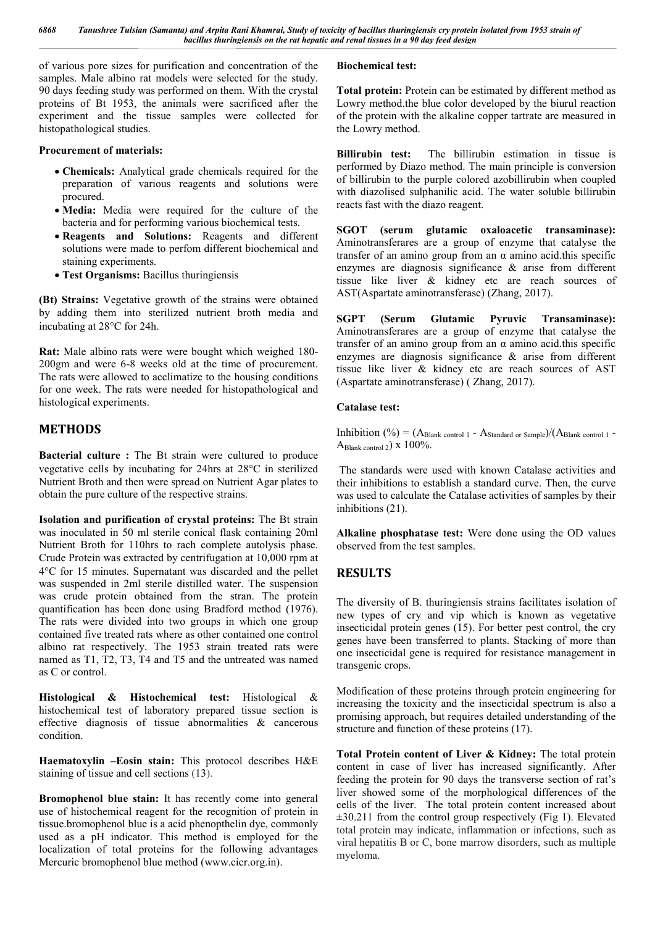of various pore sizes for purification and concentration of the samples. Male albino rat models were selected for the study. 90 days feeding study was performed on them. With the crystal proteins of Bt 1953, the animals were sacrificed after the experiment and the tissue samples were collected for histopathological studies.

#### **Procurement of materials:**

- **Chemicals:** Analytical grade chemicals required for the preparation of various reagents and solutions were procured.
- **Media:** Media were required for the culture of the bacteria and for performing various biochemical tests.
- **Reagents and Solutions:** Reagents and different solutions were made to perfom different biochemical and staining experiments.
- **Test Organisms:** Bacillus thuringiensis

**(Bt) Strains:** Vegetative growth of the strains were obtained by adding them into sterilized nutrient broth media and incubating at  $28^{\circ}$ C for 24h.

**Rat:** Male albino rats were were bought which weighed 180- 200gm and were 6-8 weeks old at the time of procurement. The rats were allowed to acclimatize to the housing conditions for one week. The rats were needed for histopathological and histological experiments.

## **METHODS**

**Bacterial culture :** The Bt strain were cultured to produce vegetative cells by incubating for  $24$ hrs at  $28^{\circ}$ C in sterilized Nutrient Broth and then were spread on Nutrient Agar plates to obtain the pure culture of the respective strains.

**Isolation and purification of crystal proteins:** The Bt strain was inoculated in 50 ml sterile conical flask containing 20ml Nutrient Broth for 110hrs to rach complete autolysis phase. Crude Protein was extracted by centrifugation at 10,000 rpm at 4C for 15 minutes. Supernatant was discarded and the pellet was suspended in 2ml sterile distilled water. The suspension was crude protein obtained from the stran. The protein quantification has been done using Bradford method (1976). The rats were divided into two groups in which one group contained five treated rats where as other contained one control albino rat respectively. The 1953 strain treated rats were named as T1, T2, T3, T4 and T5 and the untreated was named as C or control.

**Histological & Histochemical test:** Histological & histochemical test of laboratory prepared tissue section is effective diagnosis of tissue abnormalities & cancerous condition.

**Haematoxylin –Eosin stain:** This protocol describes H&E staining of tissue and cell sections (13).

**Bromophenol blue stain:** It has recently come into general use of histochemical reagent for the recognition of protein in tissue.bromophenol blue is a acid phenopthelin dye, commonly used as a pH indicator. This method is employed for the localization of total proteins for the following advantages Mercuric bromophenol blue method (www.cicr.org.in).

#### **Biochemical test:**

**Total protein:** Protein can be estimated by different method as Lowry method.the blue color developed by the biurul reaction of the protein with the alkaline copper tartrate are measured in the Lowry method.

**Billirubin test:** The billirubin estimation in tissue is performed by Diazo method. The main principle is conversion of billirubin to the purple colored azobillirubin when coupled with diazolised sulphanilic acid. The water soluble billirubin reacts fast with the diazo reagent.

**SGOT (serum glutamic oxaloacetic transaminase):** Aminotransferares are a group of enzyme that catalyse the transfer of an amino group from an α amino acid.this specific enzymes are diagnosis significance & arise from different tissue like liver & kidney etc are reach sources of AST(Aspartate aminotransferase) (Zhang, 2017).

**SGPT (Serum Glutamic Pyruvic Transaminase):**  Aminotransferares are a group of enzyme that catalyse the transfer of an amino group from an α amino acid.this specific enzymes are diagnosis significance & arise from different tissue like liver & kidney etc are reach sources of AST (Aspartate aminotransferase) ( Zhang, 2017).

#### **Catalase test:**

Inhibition (%) =  $(A<sub>Blank control 1</sub> - A<sub>Standard or Sample</sub>)/(A<sub>Blank control 1</sub> - A<sub>Standard of Sample</sub>)$ ABlank control 2) x 100%.

The standards were used with known Catalase activities and their inhibitions to establish a standard curve. Then, the curve was used to calculate the Catalase activities of samples by their inhibitions (21).

**Alkaline phosphatase test:** Were done using the OD values observed from the test samples.

### **RESULTS**

The diversity of B. thuringiensis strains facilitates isolation of new types of cry and vip which is known as vegetative insecticidal protein genes (15). For better pest control, the cry genes have been transferred to plants. Stacking of more than one insecticidal gene is required for resistance management in transgenic crops.

Modification of these proteins through protein engineering for increasing the toxicity and the insecticidal spectrum is also a promising approach, but requires detailed understanding of the structure and function of these proteins (17).

**Total Protein content of Liver & Kidney:** The total protein content in case of liver has increased significantly. After feeding the protein for 90 days the transverse section of rat's liver showed some of the morphological differences of the cells of the liver. The total protein content increased about  $\pm 30.211$  from the control group respectively (Fig 1). Elevated total protein may indicate, inflammation or infections, such as viral hepatitis B or C, bone marrow disorders, such as multiple myeloma.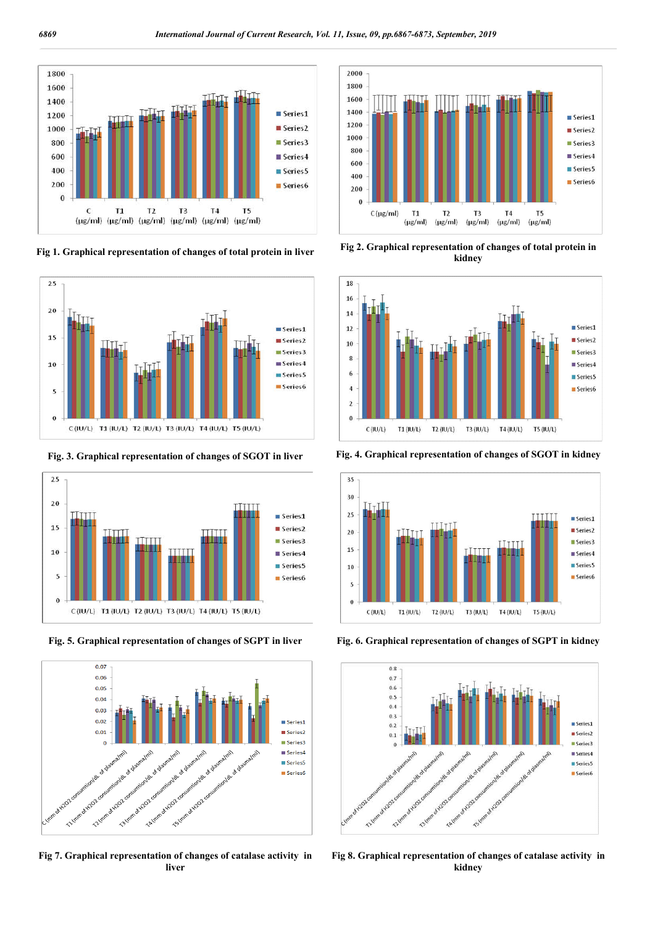







**Fig 7. Graphical representation of changes of catalase activity in liver**



**Fig 1. Graphical representation of changes of total protein in liver Fig 2. Graphical representation of changes of total protein in kidney**



**Fig. 3. Graphical representation of changes of SGOT in liver Fig. 4. Graphical representation of changes of SGOT in kidney**







**Fig 8. Graphical representation of changes of catalase activity in kidney**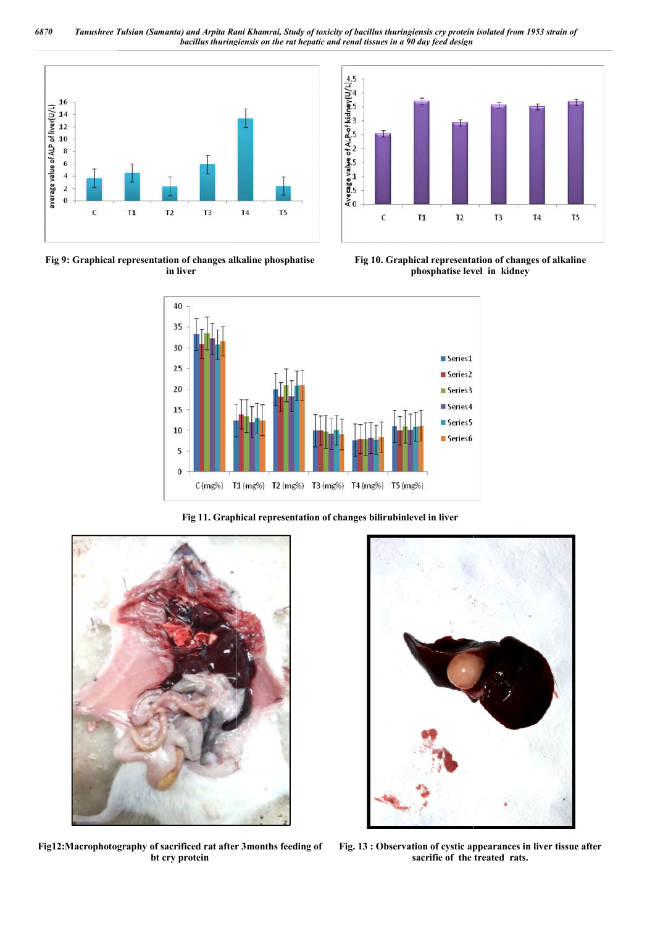*6870 Tanushree Tulsian (Samanta) and Arpita Rani Khamrai bacillus thuringiensis on the rat hepatic and renal tissues in a 90 day feed design Khamrai, Study of toxicity of bacillus thuringiensis cry protein isolated from 1953 strain of* 



**Fig 9: Graphical representation of changes alkaline phosphatise in liver**



 **Fig 10. Graphical representation of changes of alkaline phosphatise level in kidney**



**Fig 11. Graphical representation of changes bilirubinlevel in liver**



**Fig12:Macrophotography of sacrificed rat after 3months feeding of bt cry protein**



**Fig. 13 : Observation of cystic appearances in liver tissue after sacrifie of the treated rats.**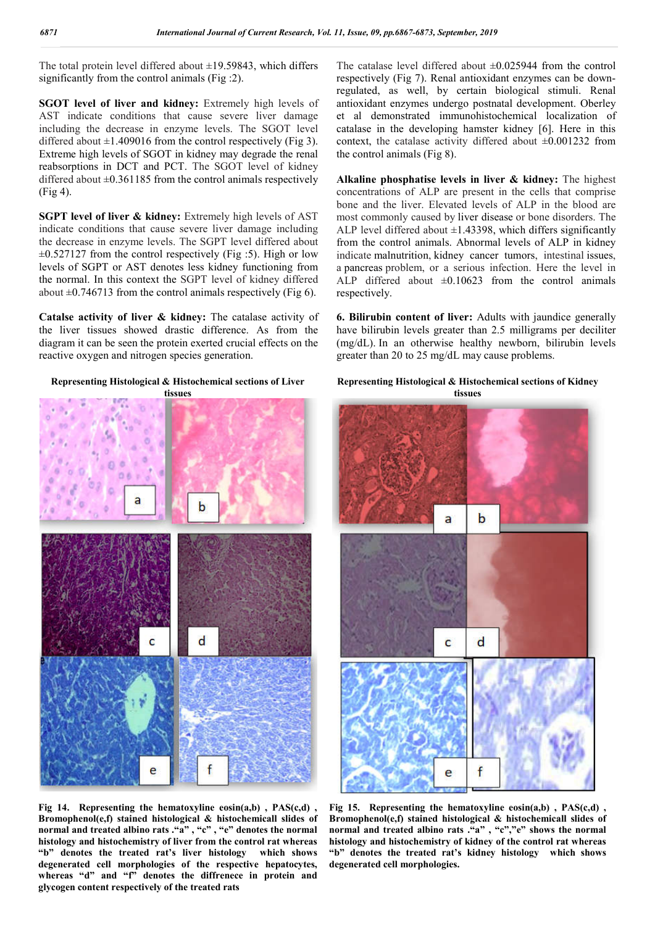The total protein level differed about  $\pm$ 19.59843, which differs significantly from the control animals (Fig :2).

**SGOT level of liver and kidney:** Extremely high levels of AST indicate conditions that cause severe liver damage including the decrease in enzyme levels. The SGOT level differed about  $\pm 1.409016$  from the control respectively (Fig 3). Extreme high levels of SGOT in kidney may degrade the renal reabsorptions in DCT and PCT. The SGOT level of kidney differed about  $\pm 0.361185$  from the control animals respectively (Fig 4).

**SGPT level of liver & kidney:** Extremely high levels of AST indicate conditions that cause severe liver damage including the decrease in enzyme levels. The SGPT level differed about  $\pm 0.527127$  from the control respectively (Fig :5). High or low levels of SGPT or AST denotes less kidney functioning from the normal. In this context the SGPT level of kidney differed about  $\pm 0.746713$  from the control animals respectively (Fig 6).

**Catalse activity of liver & kidney:** The catalase activity of the liver tissues showed drastic difference. As from the diagram it can be seen the protein exerted crucial effects on the reactive oxygen and nitrogen species generation.

**Representing Histological & Histochemical sections of Liver** 

**tissues**

The catalase level differed about  $\pm 0.025944$  from the control respectively (Fig 7). Renal antioxidant enzymes can be downregulated, as well, by certain biological stimuli. Renal antioxidant enzymes undergo postnatal development. Oberley et al demonstrated immunohistochemical localization of catalase in the developing hamster kidney [6]. Here in this context, the catalase activity differed about  $\pm 0.001232$  from the control animals (Fig 8).

**Alkaline phosphatise levels in liver & kidney:** The highest concentrations of ALP are present in the cells that comprise bone and the liver. Elevated levels of ALP in the blood are most commonly caused by liver disease or bone disorders. The ALP level differed about  $\pm$ 1.43398, which differs significantly from the control animals. Abnormal levels of ALP in kidney indicate malnutrition, kidney cancer tumors, intestinal issues, a pancreas problem, or a serious infection. Here the level in ALP differed about  $\pm 0.10623$  from the control animals respectively.

**6. Bilirubin content of liver:** Adults with jaundice generally have bilirubin levels greater than 2.5 milligrams per deciliter (mg/dL). In an otherwise healthy newborn, bilirubin levels greater than 20 to 25 mg/dL may cause problems.

#### **Representing Histological & Histochemical sections of Kidney tissues**



**Fig 14. Representing the hematoxyline eosin(a,b) , PAS(c,d) , Bromophenol(e,f) stained histological & histochemicall slides of normal and treated albino rats ."a" , "c" , "e" denotes the normal histology and histochemistry of liver from the control rat whereas "b" denotes the treated rat's liver histology which shows degenerated cell morphologies of the respective hepatocytes, whereas "d" and "f" denotes the diffrenece in protein and glycogen content respectively of the treated rats**

**Fig 15. Representing the hematoxyline eosin(a,b) , PAS(c,d) , Bromophenol(e,f) stained histological & histochemicall slides of normal and treated albino rats ."a" , "c","e" shows the normal histology and histochemistry of kidney of the control rat whereas "b" denotes the treated rat's kidney histology which shows degenerated cell morphologies.**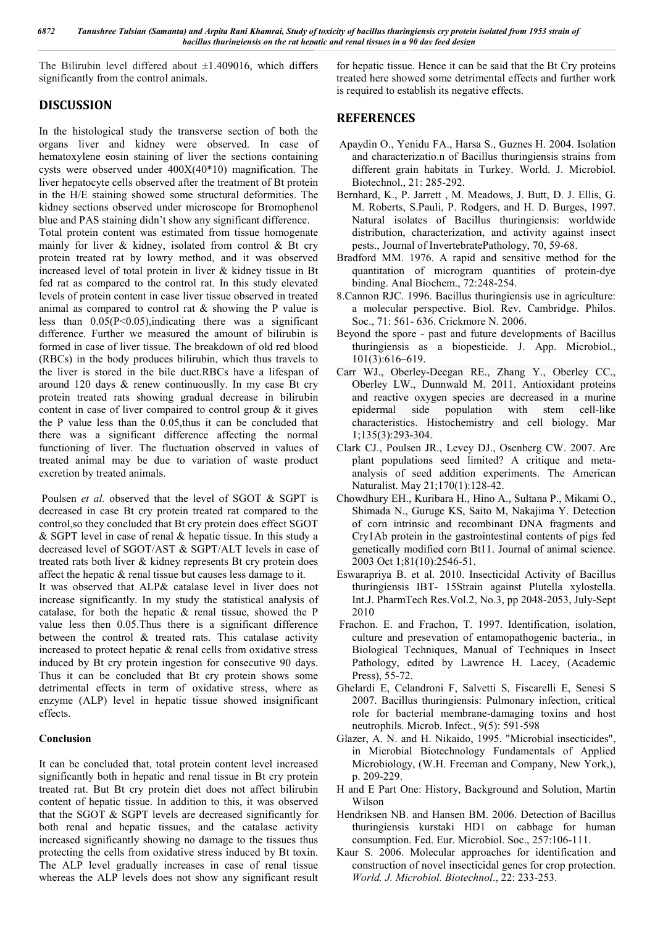*6872 Tanushree Tulsian (Samanta) and Arpita Rani Khamrai, Study of toxicity of bacillus thuringiensis cry protein isolated from 1953 strain of bacillus thuringiensis on the rat hepatic and renal tissues in a 90 day feed design*

The Bilirubin level differed about  $\pm 1.409016$ , which differs significantly from the control animals.

## **DISCUSSION**

In the histological study the transverse section of both the organs liver and kidney were observed. In case of hematoxylene eosin staining of liver the sections containing cysts were observed under 400X(40\*10) magnification. The liver hepatocyte cells observed after the treatment of Bt protein in the H/E staining showed some structural deformities. The kidney sections observed under microscope for Bromophenol blue and PAS staining didn't show any significant difference.

Total protein content was estimated from tissue homogenate mainly for liver  $\&$  kidney, isolated from control  $\&$  Bt cry protein treated rat by lowry method, and it was observed increased level of total protein in liver & kidney tissue in Bt fed rat as compared to the control rat. In this study elevated levels of protein content in case liver tissue observed in treated animal as compared to control rat & showing the P value is less than  $0.05(P<0.05)$ , indicating there was a significant difference. Further we measured the amount of bilirubin is formed in case of liver tissue. The breakdown of old red blood (RBCs) in the body produces bilirubin, which thus travels to the liver is stored in the bile duct.RBCs have a lifespan of around 120 days & renew continuouslly. In my case Bt cry protein treated rats showing gradual decrease in bilirubin content in case of liver compaired to control group  $\&$  it gives the P value less than the 0.05,thus it can be concluded that there was a significant difference affecting the normal functioning of liver. The fluctuation observed in values of treated animal may be due to variation of waste product excretion by treated animals.

Poulsen *et al.* observed that the level of SGOT & SGPT is decreased in case Bt cry protein treated rat compared to the control,so they concluded that Bt cry protein does effect SGOT  $&$  SGPT level in case of renal  $&$  hepatic tissue. In this study a decreased level of SGOT/AST & SGPT/ALT levels in case of treated rats both liver & kidney represents Bt cry protein does affect the hepatic & renal tissue but causes less damage to it.

It was observed that ALP& catalase level in liver does not increase significantly. In my study the statistical analysis of catalase, for both the hepatic  $\&$  renal tissue, showed the P value less then 0.05.Thus there is a significant difference between the control  $\&$  treated rats. This catalase activity increased to protect hepatic & renal cells from oxidative stress induced by Bt cry protein ingestion for consecutive 90 days. Thus it can be concluded that Bt cry protein shows some detrimental effects in term of oxidative stress, where as enzyme (ALP) level in hepatic tissue showed insignificant effects.

#### **Conclusion**

It can be concluded that, total protein content level increased significantly both in hepatic and renal tissue in Bt cry protein treated rat. But Bt cry protein diet does not affect bilirubin content of hepatic tissue. In addition to this, it was observed that the SGOT & SGPT levels are decreased significantly for both renal and hepatic tissues, and the catalase activity increased significantly showing no damage to the tissues thus protecting the cells from oxidative stress induced by Bt toxin. The ALP level gradually increases in case of renal tissue whereas the ALP levels does not show any significant result

for hepatic tissue. Hence it can be said that the Bt Cry proteins treated here showed some detrimental effects and further work is required to establish its negative effects.

#### **REFERENCES**

- Apaydin O., Yenidu FA., Harsa S., Guznes H. 2004. Isolation and characterizatio.n of Bacillus thuringiensis strains from different grain habitats in Turkey. World. J. Microbiol. Biotechnol., 21: 285-292.
- Bernhard, K., P. Jarrett , M. Meadows, J. Butt, D. J. Ellis, G. M. Roberts, S.Pauli, P. Rodgers, and H. D. Burges, 1997. Natural isolates of Bacillus thuringiensis: worldwide distribution, characterization, and activity against insect pests., Journal of InvertebratePathology, 70, 59-68.
- Bradford MM. 1976. A rapid and sensitive method for the quantitation of microgram quantities of protein-dye binding. Anal Biochem., 72:248-254.
- 8.Cannon RJC. 1996. Bacillus thuringiensis use in agriculture: a molecular perspective. Biol. Rev. Cambridge. Philos. Soc., 71: 561- 636. Crickmore N. 2006.
- Beyond the spore past and future developments of Bacillus thuringiensis as a biopesticide. J. App. Microbiol., 101(3):616–619.
- Carr WJ., Oberley-Deegan RE., Zhang Y., Oberley CC., Oberley LW., Dunnwald M. 2011. Antioxidant proteins and reactive oxygen species are decreased in a murine epidermal side population with stem cell-like characteristics. Histochemistry and cell biology. Mar 1;135(3):293-304.
- Clark CJ., Poulsen JR., Levey DJ., Osenberg CW. 2007. Are plant populations seed limited? A critique and metaanalysis of seed addition experiments. The American Naturalist. May 21;170(1):128-42.
- Chowdhury EH., Kuribara H., Hino A., Sultana P., Mikami O., Shimada N., Guruge KS, Saito M, Nakajima Y. Detection of corn intrinsic and recombinant DNA fragments and Cry1Ab protein in the gastrointestinal contents of pigs fed genetically modified corn Bt11. Journal of animal science. 2003 Oct 1;81(10):2546-51.
- Eswarapriya B. et al. 2010. Insecticidal Activity of Bacillus thuringiensis IBT- 15Strain against Plutella xylostella. Int.J. PharmTech Res.Vol.2, No.3, pp 2048-2053, July-Sept 2010
- Frachon. E. and Frachon, T. 1997. Identification, isolation, culture and presevation of entamopathogenic bacteria., in Biological Techniques, Manual of Techniques in Insect Pathology, edited by Lawrence H. Lacey, (Academic Press), 55-72.
- Ghelardi E, Celandroni F, Salvetti S, Fiscarelli E, Senesi S 2007. Bacillus thuringiensis: Pulmonary infection, critical role for bacterial membrane-damaging toxins and host neutrophils. Microb. Infect., 9(5): 591-598
- Glazer, A. N. and H. Nikaido, 1995. "Microbial insecticides", in Microbial Biotechnology Fundamentals of Applied Microbiology, (W.H. Freeman and Company, New York,), p. 209-229.
- H and E Part One: History, Background and Solution, Martin Wilson
- Hendriksen NB. and Hansen BM. 2006. Detection of Bacillus thuringiensis kurstaki HD1 on cabbage for human consumption. Fed. Eur. Microbiol. Soc., 257:106-111.
- Kaur S. 2006. Molecular approaches for identification and construction of novel insecticidal genes for crop protection. *World. J. Microbiol. Biotechnol*., 22: 233-253.